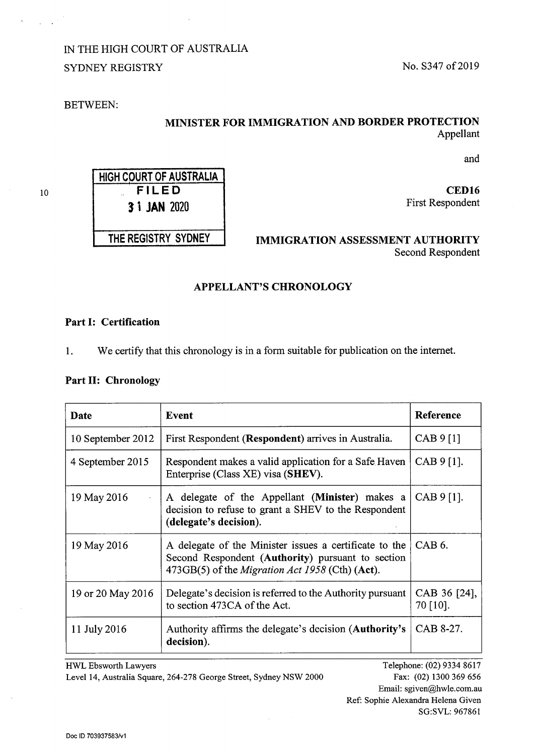10

# IN THE HIGH COURT OF AUSTRALIA SYDNEY REGISTRY No. S347 of 2019

**3 i JAN 2020** 

## BETWEEN:

# **MINISTER FOR IMMIGRATION AND BORDER PROTECTION**  Appellant

and

**FILED CED16**  First Respondent

**THE REGISTRY SYDNEY IMMIGRATION ASSESSMENT AUTHORITY**  Second Respondent

# **APPELLANT'S CHRONOLOGY**

### **Part I: Certification**

**1.** We certify that this chronology is in a form suitable for publication on the internet.

### **Part II: Chronology**

| Date              | Event                                                                                                                                                                 | <b>Reference</b>         |
|-------------------|-----------------------------------------------------------------------------------------------------------------------------------------------------------------------|--------------------------|
| 10 September 2012 | First Respondent (Respondent) arrives in Australia.                                                                                                                   | CAB 9 [1]                |
| 4 September 2015  | Respondent makes a valid application for a Safe Haven<br>Enterprise (Class XE) visa (SHEV).                                                                           | $CAB 9 [1]$ .            |
| 19 May 2016       | A delegate of the Appellant (Minister) makes a<br>decision to refuse to grant a SHEV to the Respondent<br>(delegate's decision).                                      | $CAB 9 [1]$ .            |
| 19 May 2016       | A delegate of the Minister issues a certificate to the<br>Second Respondent (Authority) pursuant to section<br>473GB(5) of the <i>Migration Act 1958</i> (Cth) (Act). | CAB <sub>6</sub> .       |
| 19 or 20 May 2016 | Delegate's decision is referred to the Authority pursuant<br>to section 473CA of the Act.                                                                             | CAB 36 [24],<br>70 [10]. |
| 11 July 2016      | Authority affirms the delegate's decision ( <b>Authority's</b><br>decision).                                                                                          | CAB 8-27.                |

HWL Ebsworth Lawyers Level 14, Australia Square, 264-278 George Street, Sydney NSW 2000

Telephone: (02) 9334 8617 Fax: (02) 1300 369 656 Email: sgiven@hwle.com.au Ref: Sophie Alexandra Helena Given SG:SVL: 967861

**HIGH COURT OF AUSTRALIA**